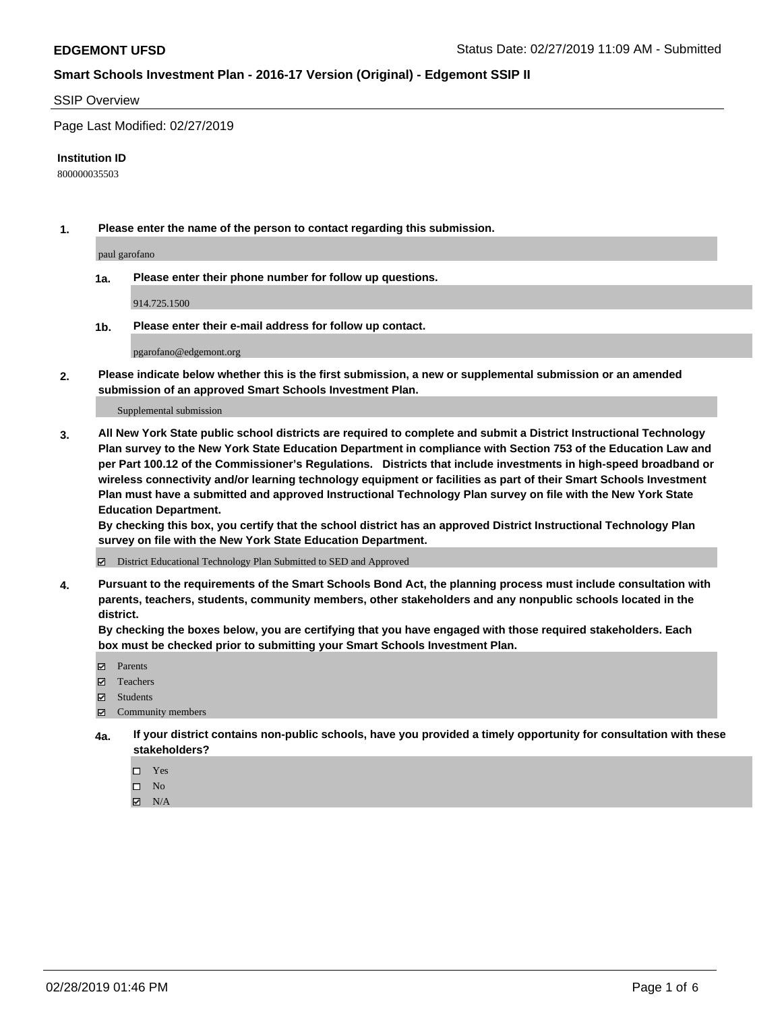#### SSIP Overview

Page Last Modified: 02/27/2019

#### **Institution ID**

800000035503

**1. Please enter the name of the person to contact regarding this submission.**

paul garofano

**1a. Please enter their phone number for follow up questions.**

914.725.1500

**1b. Please enter their e-mail address for follow up contact.**

pgarofano@edgemont.org

**2. Please indicate below whether this is the first submission, a new or supplemental submission or an amended submission of an approved Smart Schools Investment Plan.**

Supplemental submission

**3. All New York State public school districts are required to complete and submit a District Instructional Technology Plan survey to the New York State Education Department in compliance with Section 753 of the Education Law and per Part 100.12 of the Commissioner's Regulations. Districts that include investments in high-speed broadband or wireless connectivity and/or learning technology equipment or facilities as part of their Smart Schools Investment Plan must have a submitted and approved Instructional Technology Plan survey on file with the New York State Education Department.** 

**By checking this box, you certify that the school district has an approved District Instructional Technology Plan survey on file with the New York State Education Department.**

District Educational Technology Plan Submitted to SED and Approved

**4. Pursuant to the requirements of the Smart Schools Bond Act, the planning process must include consultation with parents, teachers, students, community members, other stakeholders and any nonpublic schools located in the district.** 

**By checking the boxes below, you are certifying that you have engaged with those required stakeholders. Each box must be checked prior to submitting your Smart Schools Investment Plan.**

- **□** Parents
- Teachers
- Students
- $\boxtimes$  Community members
- **4a. If your district contains non-public schools, have you provided a timely opportunity for consultation with these stakeholders?**
	- $\Box$  Yes
	- $\qquad \qquad$  No
	- $\blacksquare$  N/A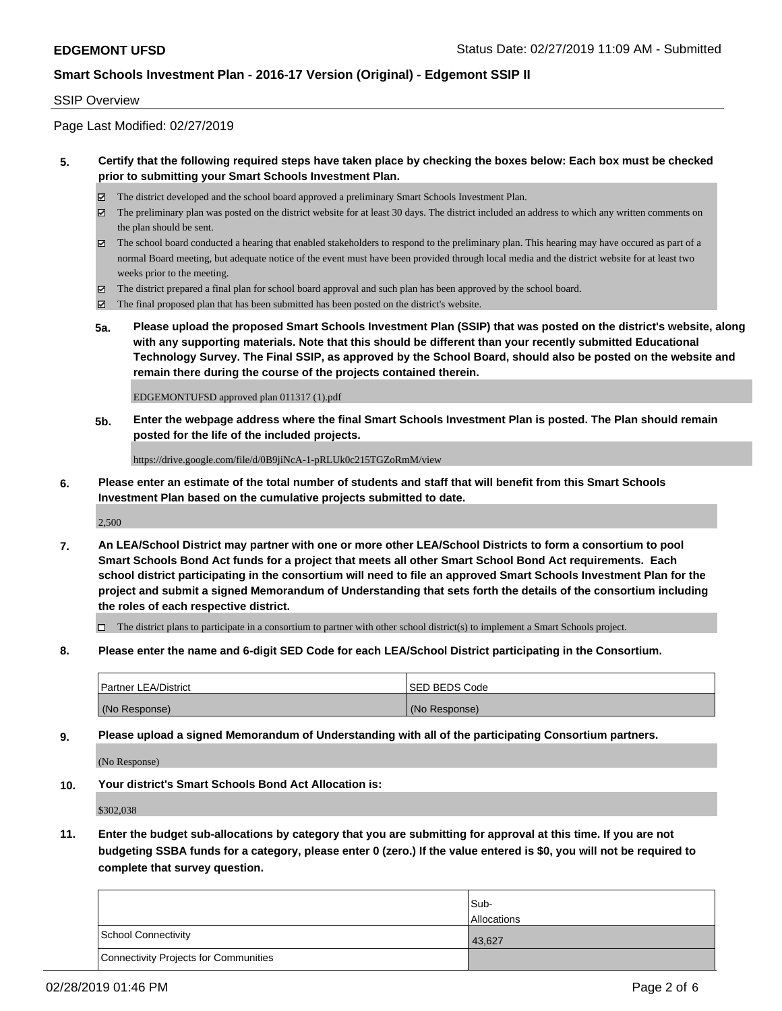#### SSIP Overview

Page Last Modified: 02/27/2019

### **5. Certify that the following required steps have taken place by checking the boxes below: Each box must be checked prior to submitting your Smart Schools Investment Plan.**

- The district developed and the school board approved a preliminary Smart Schools Investment Plan.
- $\boxtimes$  The preliminary plan was posted on the district website for at least 30 days. The district included an address to which any written comments on the plan should be sent.
- $\boxtimes$  The school board conducted a hearing that enabled stakeholders to respond to the preliminary plan. This hearing may have occured as part of a normal Board meeting, but adequate notice of the event must have been provided through local media and the district website for at least two weeks prior to the meeting.
- The district prepared a final plan for school board approval and such plan has been approved by the school board.
- $\boxtimes$  The final proposed plan that has been submitted has been posted on the district's website.
- **5a. Please upload the proposed Smart Schools Investment Plan (SSIP) that was posted on the district's website, along with any supporting materials. Note that this should be different than your recently submitted Educational Technology Survey. The Final SSIP, as approved by the School Board, should also be posted on the website and remain there during the course of the projects contained therein.**

EDGEMONTUFSD approved plan 011317 (1).pdf

**5b. Enter the webpage address where the final Smart Schools Investment Plan is posted. The Plan should remain posted for the life of the included projects.**

https://drive.google.com/file/d/0B9jiNcA-1-pRLUk0c215TGZoRmM/view

**6. Please enter an estimate of the total number of students and staff that will benefit from this Smart Schools Investment Plan based on the cumulative projects submitted to date.**

2,500

**7. An LEA/School District may partner with one or more other LEA/School Districts to form a consortium to pool Smart Schools Bond Act funds for a project that meets all other Smart School Bond Act requirements. Each school district participating in the consortium will need to file an approved Smart Schools Investment Plan for the project and submit a signed Memorandum of Understanding that sets forth the details of the consortium including the roles of each respective district.**

 $\Box$  The district plans to participate in a consortium to partner with other school district(s) to implement a Smart Schools project.

**8. Please enter the name and 6-digit SED Code for each LEA/School District participating in the Consortium.**

| <b>Partner LEA/District</b> | <b>ISED BEDS Code</b> |
|-----------------------------|-----------------------|
| (No Response)               | (No Response)         |

**9. Please upload a signed Memorandum of Understanding with all of the participating Consortium partners.**

(No Response)

**10. Your district's Smart Schools Bond Act Allocation is:**

\$302,038

**11. Enter the budget sub-allocations by category that you are submitting for approval at this time. If you are not budgeting SSBA funds for a category, please enter 0 (zero.) If the value entered is \$0, you will not be required to complete that survey question.**

|                                              | Sub-               |
|----------------------------------------------|--------------------|
|                                              | <b>Allocations</b> |
| <b>School Connectivity</b>                   | 43,627             |
| <b>Connectivity Projects for Communities</b> |                    |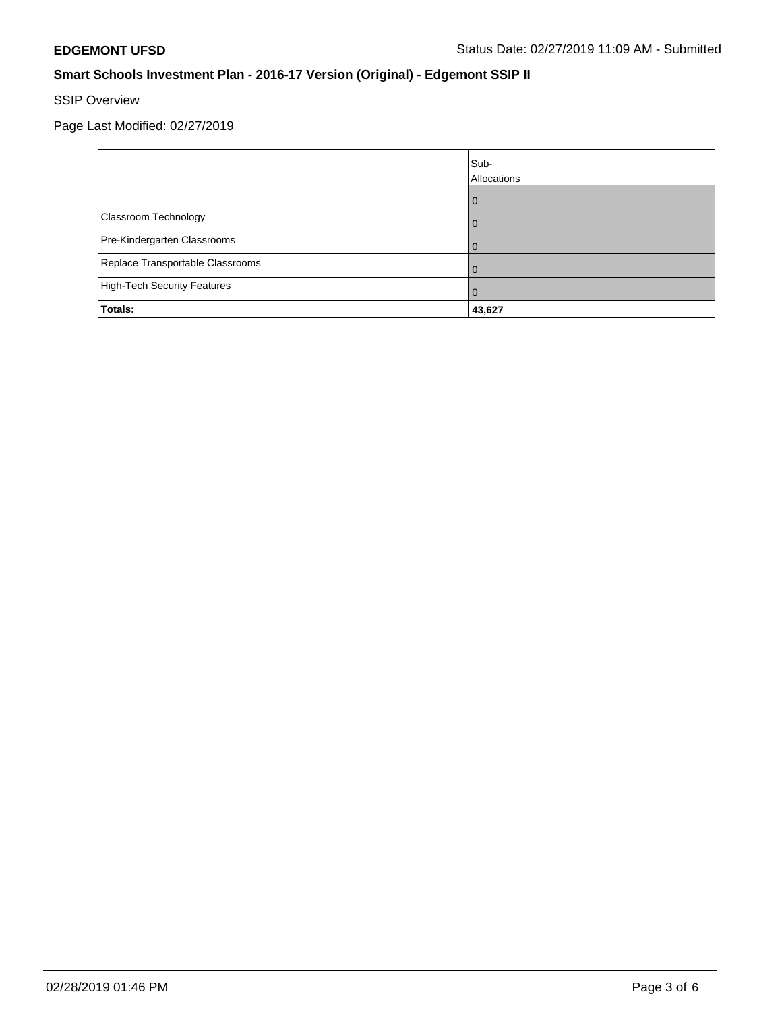# SSIP Overview

Page Last Modified: 02/27/2019

|                                    | Sub-<br>Allocations |
|------------------------------------|---------------------|
|                                    | 0                   |
| Classroom Technology               | $\Omega$            |
| Pre-Kindergarten Classrooms        |                     |
| Replace Transportable Classrooms   | O                   |
| <b>High-Tech Security Features</b> | 0                   |
| Totals:                            | 43,627              |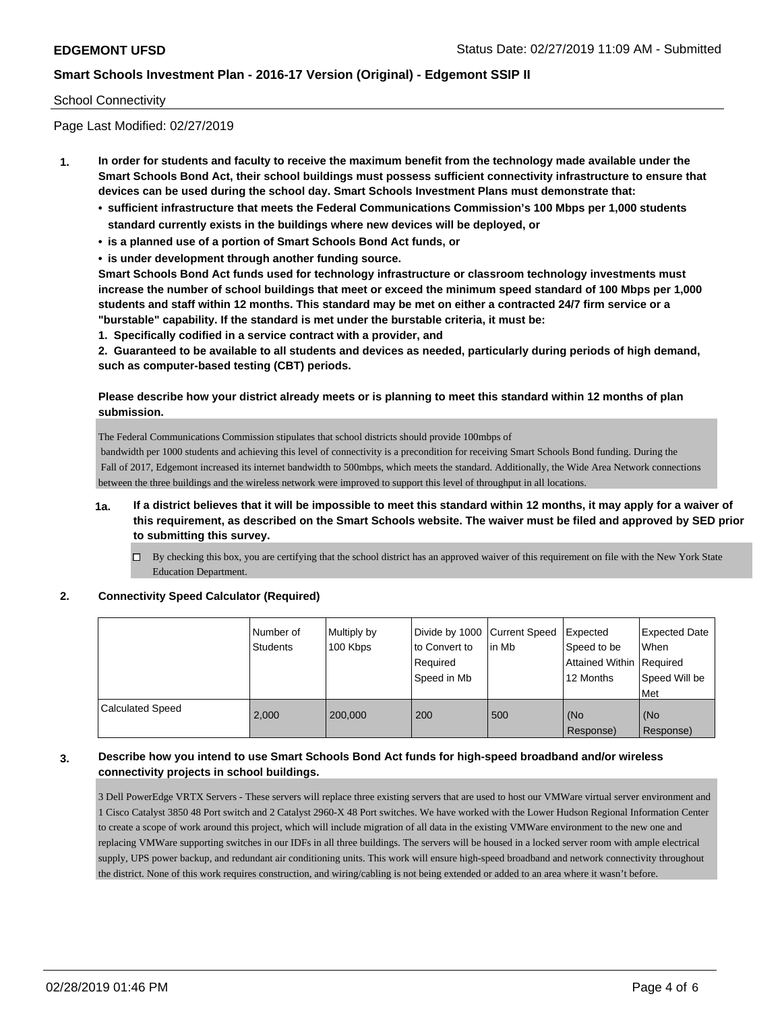### School Connectivity

Page Last Modified: 02/27/2019

- **1. In order for students and faculty to receive the maximum benefit from the technology made available under the Smart Schools Bond Act, their school buildings must possess sufficient connectivity infrastructure to ensure that devices can be used during the school day. Smart Schools Investment Plans must demonstrate that:**
	- **• sufficient infrastructure that meets the Federal Communications Commission's 100 Mbps per 1,000 students standard currently exists in the buildings where new devices will be deployed, or**
	- **• is a planned use of a portion of Smart Schools Bond Act funds, or**
	- **• is under development through another funding source.**

**Smart Schools Bond Act funds used for technology infrastructure or classroom technology investments must increase the number of school buildings that meet or exceed the minimum speed standard of 100 Mbps per 1,000 students and staff within 12 months. This standard may be met on either a contracted 24/7 firm service or a "burstable" capability. If the standard is met under the burstable criteria, it must be:**

**1. Specifically codified in a service contract with a provider, and**

**2. Guaranteed to be available to all students and devices as needed, particularly during periods of high demand, such as computer-based testing (CBT) periods.**

### **Please describe how your district already meets or is planning to meet this standard within 12 months of plan submission.**

The Federal Communications Commission stipulates that school districts should provide 100mbps of

 bandwidth per 1000 students and achieving this level of connectivity is a precondition for receiving Smart Schools Bond funding. During the Fall of 2017, Edgemont increased its internet bandwidth to 500mbps, which meets the standard. Additionally, the Wide Area Network connections between the three buildings and the wireless network were improved to support this level of throughput in all locations.

- **1a. If a district believes that it will be impossible to meet this standard within 12 months, it may apply for a waiver of this requirement, as described on the Smart Schools website. The waiver must be filed and approved by SED prior to submitting this survey.**
	- $\Box$  By checking this box, you are certifying that the school district has an approved waiver of this requirement on file with the New York State Education Department.

#### **2. Connectivity Speed Calculator (Required)**

|                         | Number of<br><b>Students</b> | Multiply by<br>100 Kbps | Divide by 1000 Current Speed<br>to Convert to<br>Required<br>Speed in Mb | lin Mb | Expected<br>Speed to be<br>Attained Within   Required<br>12 Months | <b>Expected Date</b><br><b>When</b><br>Speed Will be<br>Met |
|-------------------------|------------------------------|-------------------------|--------------------------------------------------------------------------|--------|--------------------------------------------------------------------|-------------------------------------------------------------|
| <b>Calculated Speed</b> | 2.000                        | 200,000                 | 200                                                                      | 500    | (No<br>Response)                                                   | (No<br>Response)                                            |

### **3. Describe how you intend to use Smart Schools Bond Act funds for high-speed broadband and/or wireless connectivity projects in school buildings.**

3 Dell PowerEdge VRTX Servers - These servers will replace three existing servers that are used to host our VMWare virtual server environment and 1 Cisco Catalyst 3850 48 Port switch and 2 Catalyst 2960-X 48 Port switches. We have worked with the Lower Hudson Regional Information Center to create a scope of work around this project, which will include migration of all data in the existing VMWare environment to the new one and replacing VMWare supporting switches in our IDFs in all three buildings. The servers will be housed in a locked server room with ample electrical supply, UPS power backup, and redundant air conditioning units. This work will ensure high-speed broadband and network connectivity throughout the district. None of this work requires construction, and wiring/cabling is not being extended or added to an area where it wasn't before.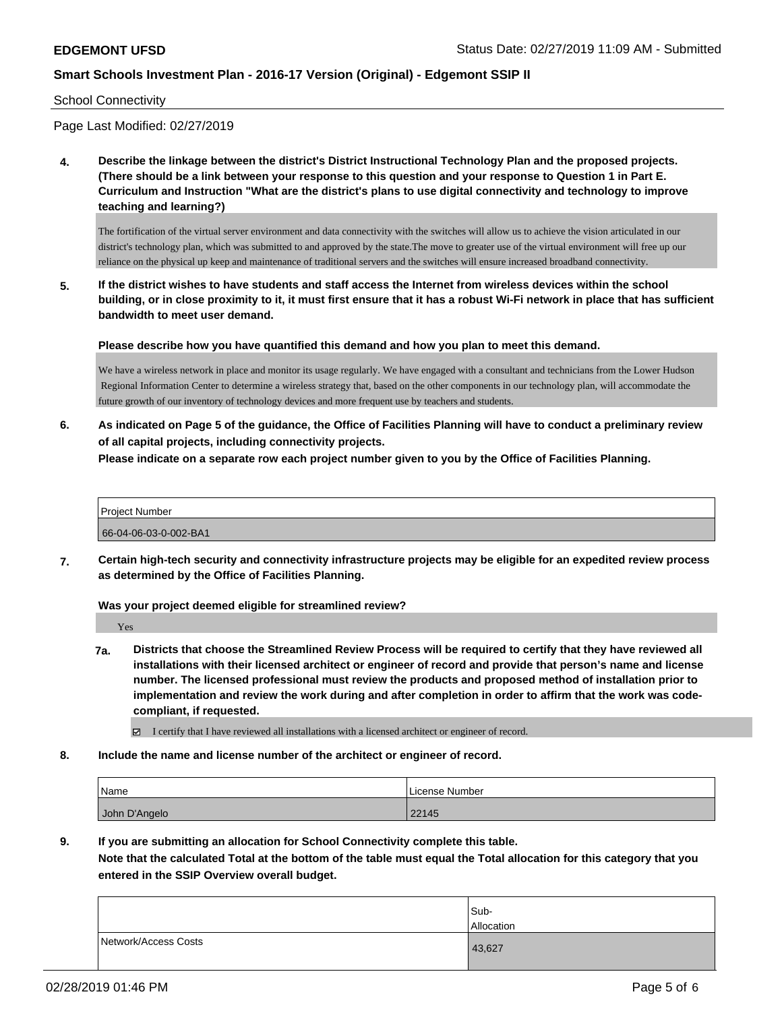School Connectivity

Page Last Modified: 02/27/2019

**4. Describe the linkage between the district's District Instructional Technology Plan and the proposed projects. (There should be a link between your response to this question and your response to Question 1 in Part E. Curriculum and Instruction "What are the district's plans to use digital connectivity and technology to improve teaching and learning?)**

The fortification of the virtual server environment and data connectivity with the switches will allow us to achieve the vision articulated in our district's technology plan, which was submitted to and approved by the state.The move to greater use of the virtual environment will free up our reliance on the physical up keep and maintenance of traditional servers and the switches will ensure increased broadband connectivity.

**5. If the district wishes to have students and staff access the Internet from wireless devices within the school building, or in close proximity to it, it must first ensure that it has a robust Wi-Fi network in place that has sufficient bandwidth to meet user demand.**

**Please describe how you have quantified this demand and how you plan to meet this demand.**

We have a wireless network in place and monitor its usage regularly. We have engaged with a consultant and technicians from the Lower Hudson Regional Information Center to determine a wireless strategy that, based on the other components in our technology plan, will accommodate the future growth of our inventory of technology devices and more frequent use by teachers and students.

**6. As indicated on Page 5 of the guidance, the Office of Facilities Planning will have to conduct a preliminary review of all capital projects, including connectivity projects.**

**Please indicate on a separate row each project number given to you by the Office of Facilities Planning.**

| Project Number        |  |
|-----------------------|--|
| 66-04-06-03-0-002-BA1 |  |

**7. Certain high-tech security and connectivity infrastructure projects may be eligible for an expedited review process as determined by the Office of Facilities Planning.**

**Was your project deemed eligible for streamlined review?**

Yes

- **7a. Districts that choose the Streamlined Review Process will be required to certify that they have reviewed all installations with their licensed architect or engineer of record and provide that person's name and license number. The licensed professional must review the products and proposed method of installation prior to implementation and review the work during and after completion in order to affirm that the work was codecompliant, if requested.**
	- I certify that I have reviewed all installations with a licensed architect or engineer of record.
- **8. Include the name and license number of the architect or engineer of record.**

| Name          | License Number |
|---------------|----------------|
| John D'Angelo | 22145          |

**9. If you are submitting an allocation for School Connectivity complete this table.**

**Note that the calculated Total at the bottom of the table must equal the Total allocation for this category that you entered in the SSIP Overview overall budget.** 

|                      | Sub-<br>Allocation |
|----------------------|--------------------|
| Network/Access Costs | 43,627             |